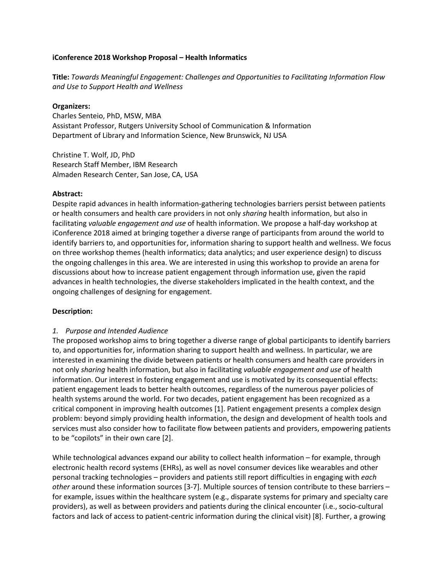# **iConference 2018 Workshop Proposal – Health Informatics**

**Title:** *Towards Meaningful Engagement: Challenges and Opportunities to Facilitating Information Flow and Use to Support Health and Wellness*

#### **Organizers:**

Charles Senteio, PhD, MSW, MBA Assistant Professor, Rutgers University School of Communication & Information Department of Library and Information Science, New Brunswick, NJ USA

Christine T. Wolf, JD, PhD Research Staff Member, IBM Research Almaden Research Center, San Jose, CA, USA

#### **Abstract:**

Despite rapid advances in health information-gathering technologies barriers persist between patients or health consumers and health care providers in not only *sharing* health information, but also in facilitating *valuable engagement and use* of health information. We propose a half-day workshop at iConference 2018 aimed at bringing together a diverse range of participants from around the world to identify barriers to, and opportunities for, information sharing to support health and wellness. We focus on three workshop themes (health informatics; data analytics; and user experience design) to discuss the ongoing challenges in this area. We are interested in using this workshop to provide an arena for discussions about how to increase patient engagement through information use, given the rapid advances in health technologies, the diverse stakeholders implicated in the health context, and the ongoing challenges of designing for engagement.

# **Description:**

# *1. Purpose and Intended Audience*

The proposed workshop aims to bring together a diverse range of global participants to identify barriers to, and opportunities for, information sharing to support health and wellness. In particular, we are interested in examining the divide between patients or health consumers and health care providers in not only *sharing* health information, but also in facilitating *valuable engagement and use* of health information. Our interest in fostering engagement and use is motivated by its consequential effects: patient engagement leads to better health outcomes, regardless of the numerous payer policies of health systems around the world. For two decades, patient engagement has been recognized as a critical component in improving health outcomes [1]. Patient engagement presents a complex design problem: beyond simply providing health information, the design and development of health tools and services must also consider how to facilitate flow between patients and providers, empowering patients to be "copilots" in their own care [2].

While technological advances expand our ability to collect health information – for example, through electronic health record systems (EHRs), as well as novel consumer devices like wearables and other personal tracking technologies – providers and patients still report difficulties in engaging with *each other* around these information sources [3-7]. Multiple sources of tension contribute to these barriers – for example, issues within the healthcare system (e.g., disparate systems for primary and specialty care providers), as well as between providers and patients during the clinical encounter (i.e., socio-cultural factors and lack of access to patient-centric information during the clinical visit) [8]. Further, a growing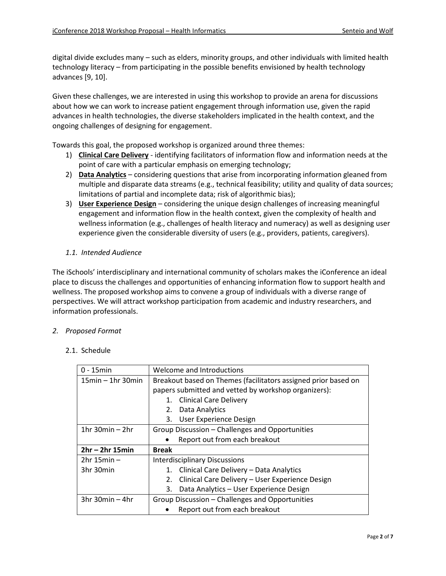digital divide excludes many – such as elders, minority groups, and other individuals with limited health technology literacy – from participating in the possible benefits envisioned by health technology advances [9, 10].

Given these challenges, we are interested in using this workshop to provide an arena for discussions about how we can work to increase patient engagement through information use, given the rapid advances in health technologies, the diverse stakeholders implicated in the health context, and the ongoing challenges of designing for engagement.

Towards this goal, the proposed workshop is organized around three themes:

- 1) **Clinical Care Delivery** identifying facilitators of information flow and information needs at the point of care with a particular emphasis on emerging technology;
- 2) **Data Analytics** considering questions that arise from incorporating information gleaned from multiple and disparate data streams (e.g., technical feasibility; utility and quality of data sources; limitations of partial and incomplete data; risk of algorithmic bias);
- 3) **User Experience Design** considering the unique design challenges of increasing meaningful engagement and information flow in the health context, given the complexity of health and wellness information (e.g., challenges of health literacy and numeracy) as well as designing user experience given the considerable diversity of users (e.g., providers, patients, caregivers).
- *1.1. Intended Audience*

The iSchools' interdisciplinary and international community of scholars makes the iConference an ideal place to discuss the challenges and opportunities of enhancing information flow to support health and wellness. The proposed workshop aims to convene a group of individuals with a diverse range of perspectives. We will attract workshop participation from academic and industry researchers, and information professionals.

# *2. Proposed Format*

#### 2.1. Schedule

| $0 - 15$ min           | Welcome and Introductions                                      |
|------------------------|----------------------------------------------------------------|
| $15min - 1hr$ 30 $min$ | Breakout based on Themes (facilitators assigned prior based on |
|                        | papers submitted and vetted by workshop organizers):           |
|                        | 1. Clinical Care Delivery                                      |
|                        | Data Analytics<br>2.                                           |
|                        | User Experience Design<br>3.                                   |
| 1 $hr$ 30 $min - 2hr$  | Group Discussion - Challenges and Opportunities                |
|                        | Report out from each breakout                                  |
| $2hr - 2hr$ 15min      | <b>Break</b>                                                   |
| $2hr 15min -$          | <b>Interdisciplinary Discussions</b>                           |
| 3hr 30min              | Clinical Care Delivery - Data Analytics<br>1.                  |
|                        | Clinical Care Delivery - User Experience Design<br>2.          |
|                        | 3.<br>Data Analytics - User Experience Design                  |
| $3hr$ 30 $min - 4hr$   | Group Discussion - Challenges and Opportunities                |
|                        | Report out from each breakout                                  |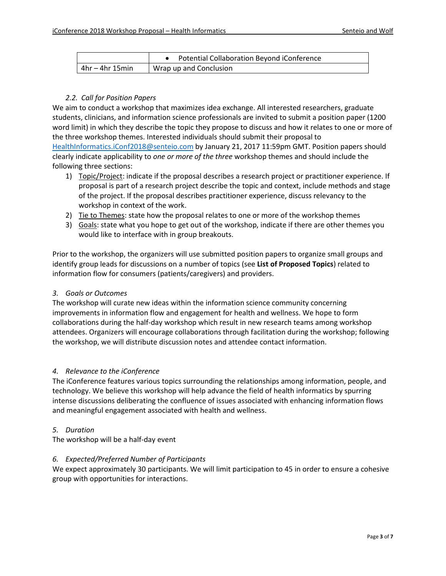|                   | Potential Collaboration Beyond iConference |
|-------------------|--------------------------------------------|
| $4hr - 4hr 15min$ | Wrap up and Conclusion                     |

# *2.2. Call for Position Papers*

We aim to conduct a workshop that maximizes idea exchange. All interested researchers, graduate students, clinicians, and information science professionals are invited to submit a position paper (1200 word limit) in which they describe the topic they propose to discuss and how it relates to one or more of the three workshop themes. Interested individuals should submit their proposal to [HealthInformatics.iConf2018@senteio.com](mailto:HealthInformatics.iConf2018@senteio.com) by January 21, 2017 11:59pm GMT. Position papers should clearly indicate applicability to *one or more of the three* workshop themes and should include the following three sections:

- 1) Topic/Project: indicate if the proposal describes a research project or practitioner experience. If proposal is part of a research project describe the topic and context, include methods and stage of the project. If the proposal describes practitioner experience, discuss relevancy to the workshop in context of the work.
- 2) Tie to Themes: state how the proposal relates to one or more of the workshop themes
- 3) Goals: state what you hope to get out of the workshop, indicate if there are other themes you would like to interface with in group breakouts.

Prior to the workshop, the organizers will use submitted position papers to organize small groups and identify group leads for discussions on a number of topics (see **List of Proposed Topics**) related to information flow for consumers (patients/caregivers) and providers.

# *3. Goals or Outcomes*

The workshop will curate new ideas within the information science community concerning improvements in information flow and engagement for health and wellness. We hope to form collaborations during the half-day workshop which result in new research teams among workshop attendees. Organizers will encourage collaborations through facilitation during the workshop; following the workshop, we will distribute discussion notes and attendee contact information.

# *4. Relevance to the iConference*

The iConference features various topics surrounding the relationships among information, people, and technology. We believe this workshop will help advance the field of health informatics by spurring intense discussions deliberating the confluence of issues associated with enhancing information flows and meaningful engagement associated with health and wellness.

# *5. Duration*

The workshop will be a half-day event

# *6. Expected/Preferred Number of Participants*

We expect approximately 30 participants. We will limit participation to 45 in order to ensure a cohesive group with opportunities for interactions.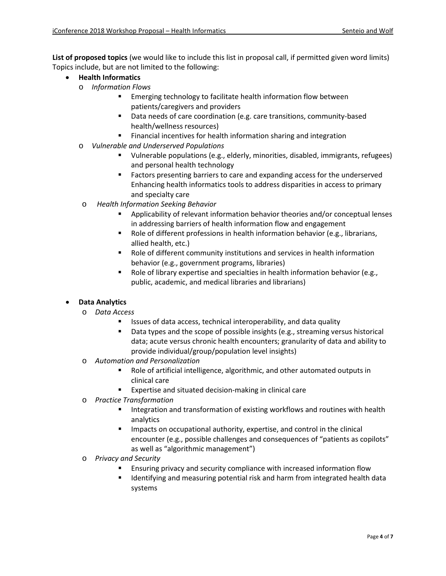**List of proposed topics** (we would like to include this list in proposal call, if permitted given word limits) Topics include, but are not limited to the following:

- **Health Informatics**
	- o *Information Flows*
		- Emerging technology to facilitate health information flow between patients/caregivers and providers
		- Data needs of care coordination (e.g. care transitions, community-based health/wellness resources)
		- Financial incentives for health information sharing and integration
	- o *Vulnerable and Underserved Populations*
		- Vulnerable populations (e.g., elderly, minorities, disabled, immigrants, refugees) and personal health technology
		- Factors presenting barriers to care and expanding access for the underserved Enhancing health informatics tools to address disparities in access to primary and specialty care
	- o *Health Information Seeking Behavior*
		- Applicability of relevant information behavior theories and/or conceptual lenses in addressing barriers of health information flow and engagement
		- Role of different professions in health information behavior (e.g., librarians, allied health, etc.)
		- Role of different community institutions and services in health information behavior (e.g., government programs, libraries)
		- Role of library expertise and specialties in health information behavior (e.g., public, academic, and medical libraries and librarians)

# • **Data Analytics**

- o *Data Access*
	- Issues of data access, technical interoperability, and data quality
	- **Data types and the scope of possible insights (e.g., streaming versus historical** data; acute versus chronic health encounters; granularity of data and ability to provide individual/group/population level insights)
- o *Automation and Personalization*
	- Role of artificial intelligence, algorithmic, and other automated outputs in clinical care
	- Expertise and situated decision-making in clinical care
- o *Practice Transformation*
	- Integration and transformation of existing workflows and routines with health analytics
	- Impacts on occupational authority, expertise, and control in the clinical encounter (e.g., possible challenges and consequences of "patients as copilots" as well as "algorithmic management")
- o *Privacy and Security*
	- Ensuring privacy and security compliance with increased information flow
	- Identifying and measuring potential risk and harm from integrated health data systems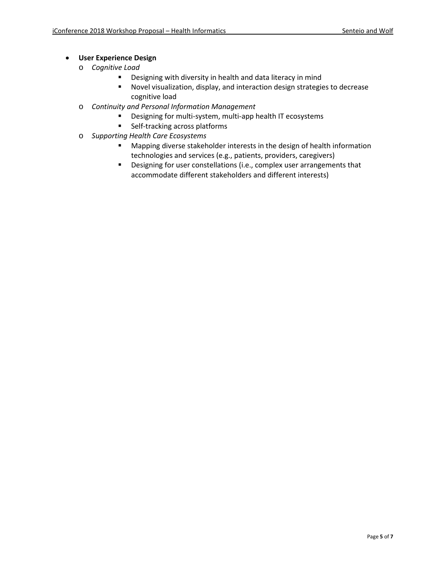# • **User Experience Design**

- o *Cognitive Load* 
	- Designing with diversity in health and data literacy in mind
	- Novel visualization, display, and interaction design strategies to decrease cognitive load
- o *Continuity and Personal Information Management*
	- **Designing for multi-system, multi-app health IT ecosystems**
	- **Self-tracking across platforms**
- o *Supporting Health Care Ecosystems*
	- **Mapping diverse stakeholder interests in the design of health information** technologies and services (e.g., patients, providers, caregivers)
	- **•** Designing for user constellations (i.e., complex user arrangements that accommodate different stakeholders and different interests)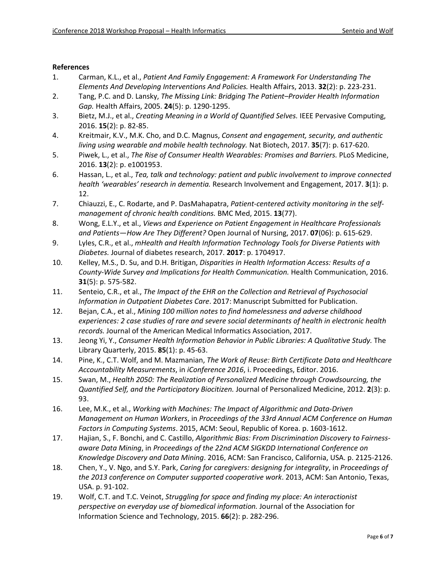#### **References**

- 1. Carman, K.L., et al., *Patient And Family Engagement: A Framework For Understanding The Elements And Developing Interventions And Policies.* Health Affairs, 2013. **32**(2): p. 223-231.
- 2. Tang, P.C. and D. Lansky, *The Missing Link: Bridging The Patient–Provider Health Information Gap.* Health Affairs, 2005. **24**(5): p. 1290-1295.
- 3. Bietz, M.J., et al., *Creating Meaning in a World of Quantified Selves.* IEEE Pervasive Computing, 2016. **15**(2): p. 82-85.
- 4. Kreitmair, K.V., M.K. Cho, and D.C. Magnus, *Consent and engagement, security, and authentic living using wearable and mobile health technology.* Nat Biotech, 2017. **35**(7): p. 617-620.
- 5. Piwek, L., et al., *The Rise of Consumer Health Wearables: Promises and Barriers.* PLoS Medicine, 2016. **13**(2): p. e1001953.
- 6. Hassan, L., et al., *Tea, talk and technology: patient and public involvement to improve connected health 'wearables' research in dementia.* Research Involvement and Engagement, 2017. **3**(1): p. 12.
- 7. Chiauzzi, E., C. Rodarte, and P. DasMahapatra, *Patient-centered activity monitoring in the selfmanagement of chronic health conditions.* BMC Med, 2015. **13**(77).
- 8. Wong, E.L.Y., et al., *Views and Experience on Patient Engagement in Healthcare Professionals and Patients—How Are They Different?* Open Journal of Nursing, 2017. **07**(06): p. 615-629.
- 9. Lyles, C.R., et al., *mHealth and Health Information Technology Tools for Diverse Patients with Diabetes.* Journal of diabetes research, 2017. **2017**: p. 1704917.
- 10. Kelley, M.S., D. Su, and D.H. Britigan, *Disparities in Health Information Access: Results of a County-Wide Survey and Implications for Health Communication.* Health Communication, 2016. **31**(5): p. 575-582.
- 11. Senteio, C.R., et al., *The Impact of the EHR on the Collection and Retrieval of Psychosocial Information in Outpatient Diabetes Care*. 2017: Manuscript Submitted for Publication.
- 12. Bejan, C.A., et al., *Mining 100 million notes to find homelessness and adverse childhood experiences: 2 case studies of rare and severe social determinants of health in electronic health records.* Journal of the American Medical Informatics Association, 2017.
- 13. Jeong Yi, Y., *Consumer Health Information Behavior in Public Libraries: A Qualitative Study.* The Library Quarterly, 2015. **85**(1): p. 45-63.
- 14. Pine, K., C.T. Wolf, and M. Mazmanian, *The Work of Reuse: Birth Certificate Data and Healthcare Accountability Measurements*, in *iConference 2016*, i. Proceedings, Editor. 2016.
- 15. Swan, M., *Health 2050: The Realization of Personalized Medicine through Crowdsourcing, the Quantified Self, and the Participatory Biocitizen.* Journal of Personalized Medicine, 2012. **2**(3): p. 93.
- 16. Lee, M.K., et al., *Working with Machines: The Impact of Algorithmic and Data-Driven Management on Human Workers*, in *Proceedings of the 33rd Annual ACM Conference on Human Factors in Computing Systems*. 2015, ACM: Seoul, Republic of Korea. p. 1603-1612.
- 17. Hajian, S., F. Bonchi, and C. Castillo, *Algorithmic Bias: From Discrimination Discovery to Fairnessaware Data Mining*, in *Proceedings of the 22nd ACM SIGKDD International Conference on Knowledge Discovery and Data Mining*. 2016, ACM: San Francisco, California, USA. p. 2125-2126.
- 18. Chen, Y., V. Ngo, and S.Y. Park, *Caring for caregivers: designing for integrality*, in *Proceedings of the 2013 conference on Computer supported cooperative work*. 2013, ACM: San Antonio, Texas, USA. p. 91-102.
- 19. Wolf, C.T. and T.C. Veinot, *Struggling for space and finding my place: An interactionist perspective on everyday use of biomedical information.* Journal of the Association for Information Science and Technology, 2015. **66**(2): p. 282-296.